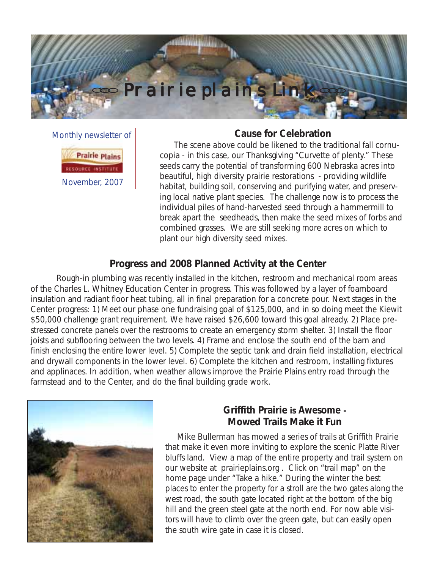

Monthly newsletter of **Prairie plains** November, 2007

#### **Cause for Celebration**

 The scene above could be likened to the traditional fall cornucopia - in this case, our Thanksgiving "Curvette of plenty." These seeds carry the potential of transforming 600 Nebraska acres into beautiful, high diversity prairie restorations - providing wildlife habitat, building soil, conserving and purifying water, and preserving local native plant species. The challenge now is to process the individual piles of hand-harvested seed through a hammermill to break apart the seedheads, then make the seed mixes of forbs and combined grasses. We are still seeking more acres on which to plant our high diversity seed mixes.

### **Progress and 2008 Planned Activity at the Center**

Rough-in plumbing was recently installed in the kitchen, restroom and mechanical room areas of the Charles L. Whitney Education Center in progress. This was followed by a layer of foamboard insulation and radiant floor heat tubing, all in final preparation for a concrete pour. Next stages in the Center progress: 1) Meet our phase one fundraising goal of \$125,000, and in so doing meet the Kiewit \$50,000 challenge grant requirement. We have raised \$26,600 toward this goal already. 2) Place prestressed concrete panels over the restrooms to create an emergency storm shelter. 3) Install the floor joists and subflooring between the two levels. 4) Frame and enclose the south end of the barn and finish enclosing the entire lower level. 5) Complete the septic tank and drain field installation, electrical and drywall components in the lower level. 6) Complete the kitchen and restroom, installing fixtures and applinaces. In addition, when weather allows improve the Prairie Plains entry road through the farmstead and to the Center, and do the final building grade work.



### **Griffith Prairie is** *Awesome* **- Mowed Trails Make it Fun**

Mike Bullerman has mowed a series of trails at Griffith Prairie that make it even more inviting to explore the scenic Platte River bluffs land. View a map of the entire property and trail system on our website at prairieplains.org . Click on "trail map" on the home page under "Take a hike." During the winter the best places to enter the property for a stroll are the two gates along the west road, the south gate located right at the bottom of the big hill and the green steel gate at the north end. For now able visitors will have to climb over the green gate, but can easily open the south wire gate in case it is closed.